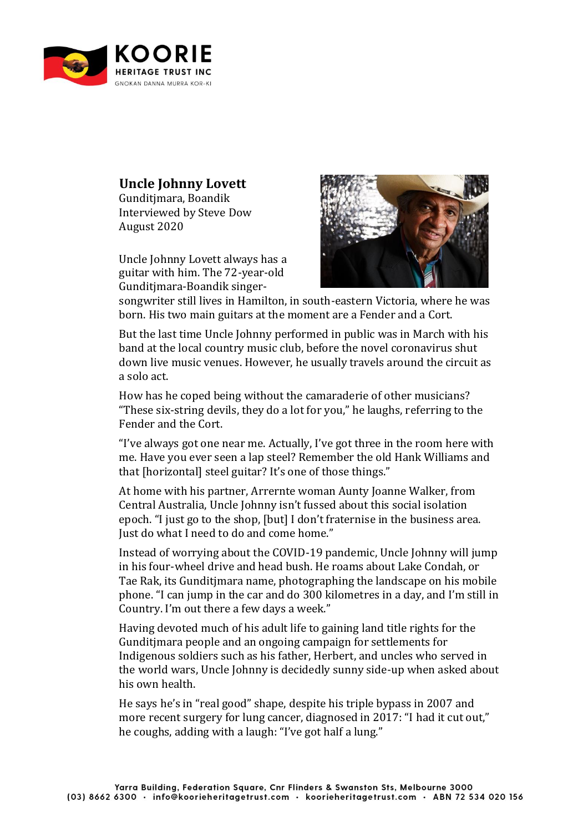

## **Uncle Johnny Lovett**

Gunditjmara, Boandik Interviewed by Steve Dow August 2020

Uncle Johnny Lovett always has a guitar with him. The 72-year-old Gunditjmara-Boandik singer-



songwriter still lives in Hamilton, in south-eastern Victoria, where he was born. His two main guitars at the moment are a Fender and a Cort.

But the last time Uncle Johnny performed in public was in March with his band at the local country music club, before the novel coronavirus shut down live music venues. However, he usually travels around the circuit as a solo act.

How has he coped being without the camaraderie of other musicians? "These six-string devils, they do a lot for you," he laughs, referring to the Fender and the Cort.

"I've always got one near me. Actually, I've got three in the room here with me. Have you ever seen a lap steel? Remember the old Hank Williams and that [horizontal] steel guitar? It's one of those things."

At home with his partner, Arrernte woman Aunty Joanne Walker, from Central Australia, Uncle Johnny isn't fussed about this social isolation epoch. "I just go to the shop, [but] I don't fraternise in the business area. Just do what I need to do and come home."

Instead of worrying about the COVID-19 pandemic, Uncle Johnny will jump in his four-wheel drive and head bush. He roams about Lake Condah, or Tae Rak, its Gunditjmara name, photographing the landscape on his mobile phone. "I can jump in the car and do 300 kilometres in a day, and I'm still in Country. I'm out there a few days a week."

Having devoted much of his adult life to gaining land title rights for the Gunditjmara people and an ongoing campaign for settlements for Indigenous soldiers such as his father, Herbert, and uncles who served in the world wars, Uncle Johnny is decidedly sunny side-up when asked about his own health.

He says he's in "real good" shape, despite his triple bypass in 2007 and more recent surgery for lung cancer, diagnosed in 2017: "I had it cut out," he coughs, adding with a laugh: "I've got half a lung."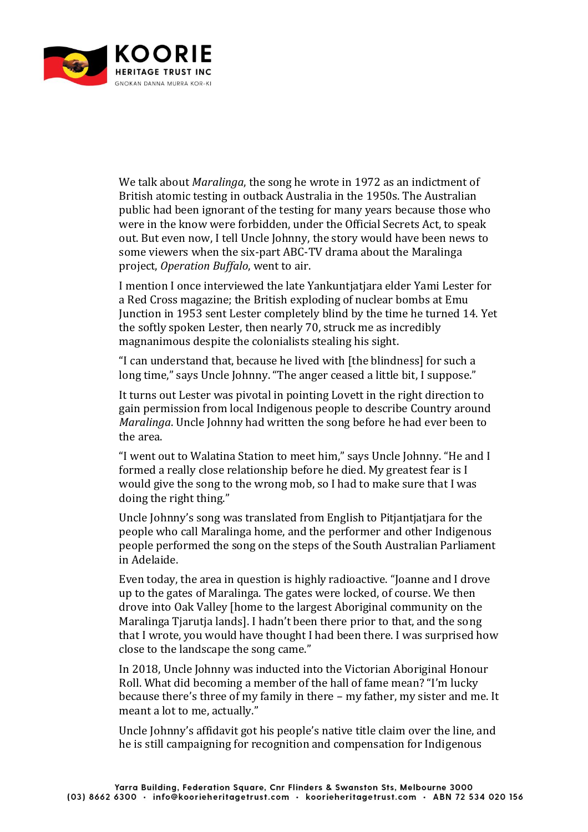

We talk about *Maralinga*, the song he wrote in 1972 as an indictment of British atomic testing in outback Australia in the 1950s. The Australian public had been ignorant of the testing for many years because those who were in the know were forbidden, under the Official Secrets Act, to speak out. But even now, I tell Uncle Johnny, the story would have been news to some viewers when the six-part ABC-TV drama about the Maralinga project, *Operation Buffalo*, went to air.

I mention I once interviewed the late Yankuntjatjara elder Yami Lester for a Red Cross magazine; the British exploding of nuclear bombs at Emu Junction in 1953 sent Lester completely blind by the time he turned 14. Yet the softly spoken Lester, then nearly 70, struck me as incredibly magnanimous despite the colonialists stealing his sight.

"I can understand that, because he lived with [the blindness] for such a long time," says Uncle Johnny. "The anger ceased a little bit, I suppose."

It turns out Lester was pivotal in pointing Lovett in the right direction to gain permission from local Indigenous people to describe Country around *Maralinga*. Uncle Johnny had written the song before he had ever been to the area.

"I went out to Walatina Station to meet him," says Uncle Johnny. "He and I formed a really close relationship before he died. My greatest fear is I would give the song to the wrong mob, so I had to make sure that I was doing the right thing."

Uncle Johnny's song was translated from English to Pitjantjatjara for the people who call Maralinga home, and the performer and other Indigenous people performed the song on the steps of the South Australian Parliament in Adelaide.

Even today, the area in question is highly radioactive. "Joanne and I drove up to the gates of Maralinga. The gates were locked, of course. We then drove into Oak Valley [home to the largest Aboriginal community on the Maralinga Tjarutja lands]. I hadn't been there prior to that, and the song that I wrote, you would have thought I had been there. I was surprised how close to the landscape the song came."

In 2018, Uncle Johnny was inducted into the Victorian Aboriginal Honour Roll. What did becoming a member of the hall of fame mean? "I'm lucky because there's three of my family in there – my father, my sister and me. It meant a lot to me, actually."

Uncle Johnny's affidavit got his people's native title claim over the line, and he is still campaigning for recognition and compensation for Indigenous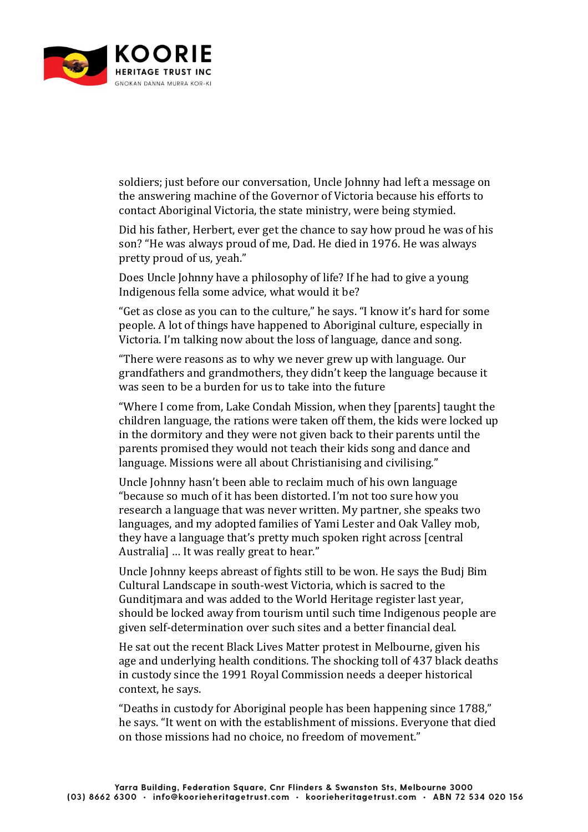

soldiers; just before our conversation, Uncle Johnny had left a message on the answering machine of the Governor of Victoria because his efforts to contact Aboriginal Victoria, the state ministry, were being stymied.

Did his father, Herbert, ever get the chance to say how proud he was of his son? "He was always proud of me, Dad. He died in 1976. He was always pretty proud of us, yeah."

Does Uncle Johnny have a philosophy of life? If he had to give a young Indigenous fella some advice, what would it be?

"Get as close as you can to the culture," he says. "I know it's hard for some people. A lot of things have happened to Aboriginal culture, especially in Victoria. I'm talking now about the loss of language, dance and song.

"There were reasons as to why we never grew up with language. Our grandfathers and grandmothers, they didn't keep the language because it was seen to be a burden for us to take into the future

"Where I come from, Lake Condah Mission, when they [parents] taught the children language, the rations were taken off them, the kids were locked up in the dormitory and they were not given back to their parents until the parents promised they would not teach their kids song and dance and language. Missions were all about Christianising and civilising."

Uncle Johnny hasn't been able to reclaim much of his own language "because so much of it has been distorted. I'm not too sure how you research a language that was never written. My partner, she speaks two languages, and my adopted families of Yami Lester and Oak Valley mob, they have a language that's pretty much spoken right across [central Australia] … It was really great to hear."

Uncle Johnny keeps abreast of fights still to be won. He says the Budj Bim Cultural Landscape in south-west Victoria, which is sacred to the Gunditjmara and was added to the World Heritage register last year, should be locked away from tourism until such time Indigenous people are given self-determination over such sites and a better financial deal.

He sat out the recent Black Lives Matter protest in Melbourne, given his age and underlying health conditions. The shocking toll of 437 black deaths in custody since the 1991 Royal Commission needs a deeper historical context, he says.

"Deaths in custody for Aboriginal people has been happening since 1788," he says. "It went on with the establishment of missions. Everyone that died on those missions had no choice, no freedom of movement."